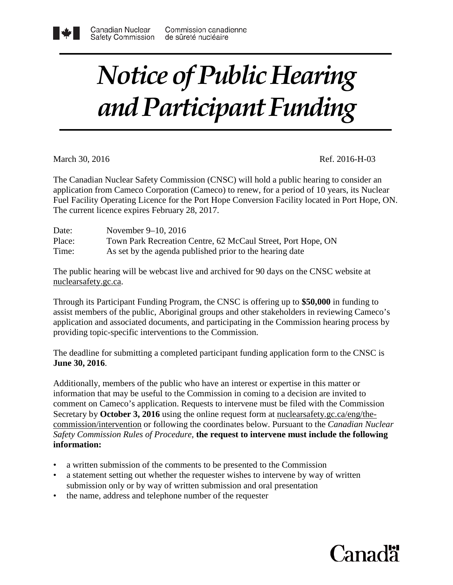## *Notice of Public Hearing and Participant Funding*

March 30, 2016 Ref. 2016-H-03

The Canadian Nuclear Safety Commission (CNSC) will hold a public hearing to consider an application from Cameco Corporation (Cameco) to renew, for a period of 10 years, its Nuclear Fuel Facility Operating Licence for the Port Hope Conversion Facility located in Port Hope, ON. The current licence expires February 28, 2017.

| Date:  | November $9-10$ , 2016                                       |
|--------|--------------------------------------------------------------|
| Place: | Town Park Recreation Centre, 62 McCaul Street, Port Hope, ON |
| Time:  | As set by the agenda published prior to the hearing date     |

The public hearing will be webcast live and archived for 90 days on the CNSC website at nuclearsafety.gc.ca.

Through its Participant Funding Program, the CNSC is offering up to **\$50,000** in funding to assist members of the public, Aboriginal groups and other stakeholders in reviewing Cameco's application and associated documents, and participating in the Commission hearing process by providing topic-specific interventions to the Commission.

The deadline for submitting a completed participant funding application form to the CNSC is **June 30, 2016**.

Additionally, members of the public who have an interest or expertise in this matter or information that may be useful to the Commission in coming to a decision are invited to comment on Cameco's application. Requests to intervene must be filed with the Commission Secretary by **October 3, 2016** using the online request form at [nuclearsafety.gc.ca/eng/the](http://www.nuclearsafety.gc.ca/eng/the-commission/intervention)[commission/intervention](http://www.nuclearsafety.gc.ca/eng/the-commission/intervention) or following the coordinates below. Pursuant to the *Canadian Nuclear Safety Commission Rules of Procedure*, **the request to intervene must include the following information:**

- a written submission of the comments to be presented to the Commission
- a statement setting out whether the requester wishes to intervene by way of written submission only or by way of written submission and oral presentation
- the name, address and telephone number of the requester